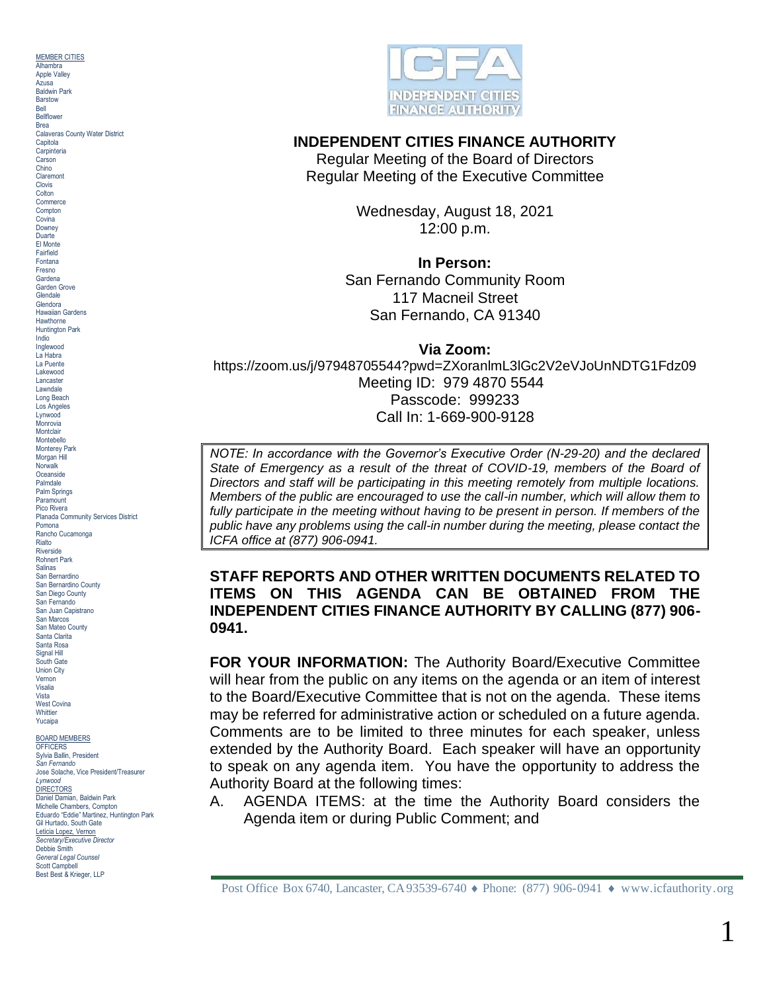MEMBER CITIES Alhambra **Annie Valley** Azusa Baldwin Park Barstow Bell Bellflower Brea Calaveras County Water District Capitola **Carpinteria** Carson Chino Claremont Clovis **Colton Commerce Compton Covina** Downey Duarte El Monte Fairfield Fontana Fresno Gardena Garden Grove Glendale Glendora Hawaiian Gardens Hawthorne Huntington Park Indio Inglewood La Habra La Puente Lakewood Lancaster Lawndale Long Beach Los Angeles Lynwood **Monrovia Montclair** Montebello Monterey Park Morgan Hill **Norwalk** Oceanside Palmdale Palm Springs Paramount Pico Rivera Planada Community Services District Pomona Rancho Cucamonga Rialto Riverside Rohnert Park Salinas San Bernardino San Bernardino County San Diego County San Fernando San Juan Capistrano San Marcos San Mateo County Santa Clarita Santa Rosa Signal Hill South Gate Union City Vernon Visalia Vista West Covina **Whittier** Yucaipa BOARD MEMBERS OFFICER<sup>®</sup> Sylvia Ballin, President

*San Fernando* Jose Solache, Vice President/Treasurer *Lynwood* DIRECTORS Daniel Damian, Baldwin Park Michelle Chambers, Compton Eduardo "Eddie" Martinez, Huntington Park Gil Hurtado, South Gate Leticia Lopez, Vernon *Secretary/Executive Director* Debbie Smith *General Legal Counsel* Scott Campbell Best Best & Krieger, LLP



## **INDEPENDENT CITIES FINANCE AUTHORITY**

Regular Meeting of the Board of Directors Regular Meeting of the Executive Committee

> Wednesday, August 18, 2021 12:00 p.m.

> > **In Person:**

San Fernando Community Room 117 Macneil Street San Fernando, CA 91340

**Via Zoom:**

https://zoom.us/j/97948705544?pwd=ZXoranlmL3lGc2V2eVJoUnNDTG1Fdz09 Meeting ID: 979 4870 5544 Passcode: 999233 Call In: 1-669-900-9128

*NOTE: In accordance with the Governor's Executive Order (N-29-20) and the declared State of Emergency as a result of the threat of COVID-19, members of the Board of Directors and staff will be participating in this meeting remotely from multiple locations. Members of the public are encouraged to use the call-in number, which will allow them to fully participate in the meeting without having to be present in person. If members of the public have any problems using the call-in number during the meeting, please contact the ICFA office at (877) 906-0941.*

**STAFF REPORTS AND OTHER WRITTEN DOCUMENTS RELATED TO ITEMS ON THIS AGENDA CAN BE OBTAINED FROM THE INDEPENDENT CITIES FINANCE AUTHORITY BY CALLING (877) 906- 0941.**

**FOR YOUR INFORMATION:** The Authority Board/Executive Committee will hear from the public on any items on the agenda or an item of interest to the Board/Executive Committee that is not on the agenda. These items may be referred for administrative action or scheduled on a future agenda. Comments are to be limited to three minutes for each speaker, unless extended by the Authority Board. Each speaker will have an opportunity to speak on any agenda item. You have the opportunity to address the Authority Board at the following times:

A. AGENDA ITEMS: at the time the Authority Board considers the Agenda item or during Public Comment; and

Post Office Box 6740, Lancaster, CA93539-6740  $\bullet$  Phone: (877) 906-0941  $\bullet$  www.icfauthority.org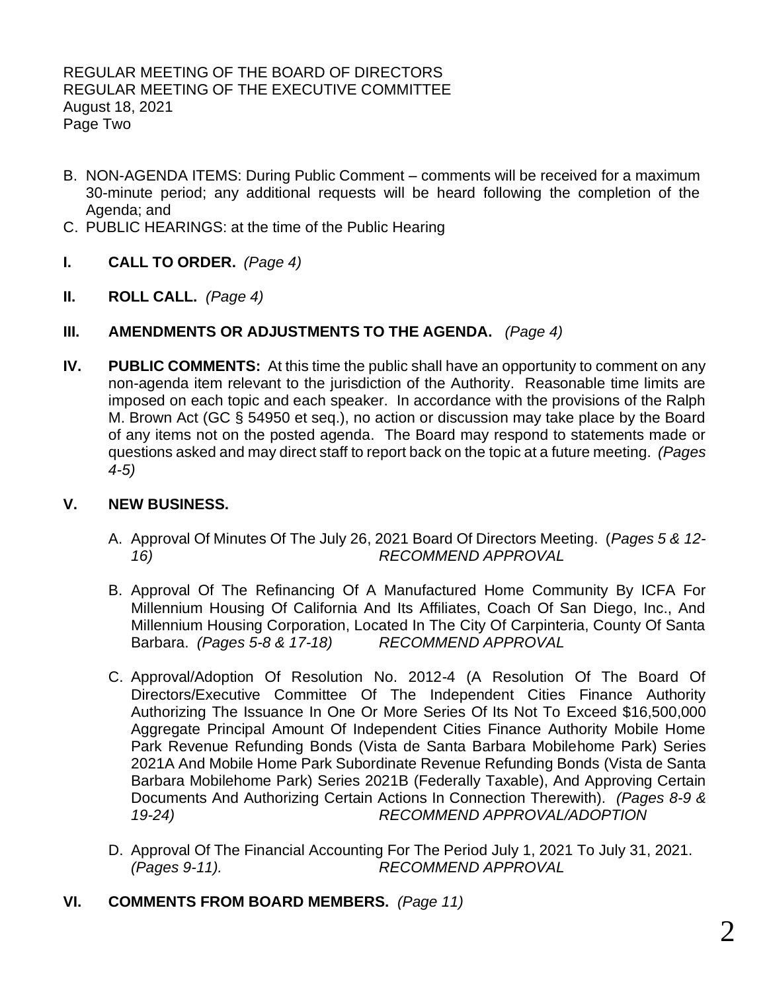- B. NON-AGENDA ITEMS: During Public Comment comments will be received for a maximum 30-minute period; any additional requests will be heard following the completion of the Agenda; and
- C. PUBLIC HEARINGS: at the time of the Public Hearing
- **I. CALL TO ORDER.** *(Page 4)*
- **II. ROLL CALL.** *(Page 4)*
- **III. AMENDMENTS OR ADJUSTMENTS TO THE AGENDA.** *(Page 4)*
- **IV. PUBLIC COMMENTS:** At this time the public shall have an opportunity to comment on any non-agenda item relevant to the jurisdiction of the Authority. Reasonable time limits are imposed on each topic and each speaker. In accordance with the provisions of the Ralph M. Brown Act (GC § 54950 et seq.), no action or discussion may take place by the Board of any items not on the posted agenda. The Board may respond to statements made or questions asked and may direct staff to report back on the topic at a future meeting. *(Pages 4-5)*

## **V. NEW BUSINESS.**

- A. Approval Of Minutes Of The July 26, 2021 Board Of Directors Meeting. (*Pages 5 & 12- 16) RECOMMEND APPROVAL*
- B. Approval Of The Refinancing Of A Manufactured Home Community By ICFA For Millennium Housing Of California And Its Affiliates, Coach Of San Diego, Inc., And Millennium Housing Corporation, Located In The City Of Carpinteria, County Of Santa Barbara. *(Pages 5-8 & 17-18) RECOMMEND APPROVAL*
- C. Approval/Adoption Of Resolution No. 2012-4 (A Resolution Of The Board Of Directors/Executive Committee Of The Independent Cities Finance Authority Authorizing The Issuance In One Or More Series Of Its Not To Exceed \$16,500,000 Aggregate Principal Amount Of Independent Cities Finance Authority Mobile Home Park Revenue Refunding Bonds (Vista de Santa Barbara Mobilehome Park) Series 2021A And Mobile Home Park Subordinate Revenue Refunding Bonds (Vista de Santa Barbara Mobilehome Park) Series 2021B (Federally Taxable), And Approving Certain Documents And Authorizing Certain Actions In Connection Therewith). *(Pages 8-9 & 19-24) RECOMMEND APPROVAL/ADOPTION*
- D. Approval Of The Financial Accounting For The Period July 1, 2021 To July 31, 2021. *(Pages 9-11). RECOMMEND APPROVAL*
- **VI. COMMENTS FROM BOARD MEMBERS.** *(Page 11)*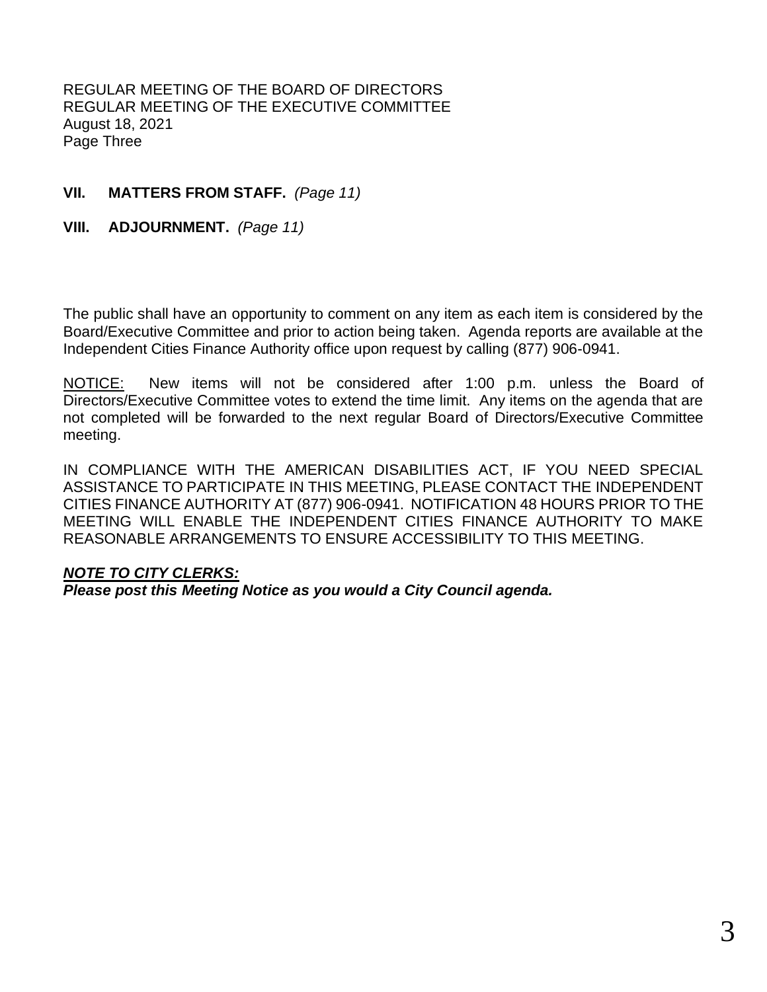REGULAR MEETING OF THE BOARD OF DIRECTORS REGULAR MEETING OF THE EXECUTIVE COMMITTEE August 18, 2021 Page Three

# **VII. MATTERS FROM STAFF.** *(Page 11)*

**VIII. ADJOURNMENT.** *(Page 11)*

The public shall have an opportunity to comment on any item as each item is considered by the Board/Executive Committee and prior to action being taken. Agenda reports are available at the Independent Cities Finance Authority office upon request by calling (877) 906-0941.

NOTICE: New items will not be considered after 1:00 p.m. unless the Board of Directors/Executive Committee votes to extend the time limit. Any items on the agenda that are not completed will be forwarded to the next regular Board of Directors/Executive Committee meeting.

IN COMPLIANCE WITH THE AMERICAN DISABILITIES ACT, IF YOU NEED SPECIAL ASSISTANCE TO PARTICIPATE IN THIS MEETING, PLEASE CONTACT THE INDEPENDENT CITIES FINANCE AUTHORITY AT (877) 906-0941. NOTIFICATION 48 HOURS PRIOR TO THE MEETING WILL ENABLE THE INDEPENDENT CITIES FINANCE AUTHORITY TO MAKE REASONABLE ARRANGEMENTS TO ENSURE ACCESSIBILITY TO THIS MEETING.

# *NOTE TO CITY CLERKS:*

*Please post this Meeting Notice as you would a City Council agenda.*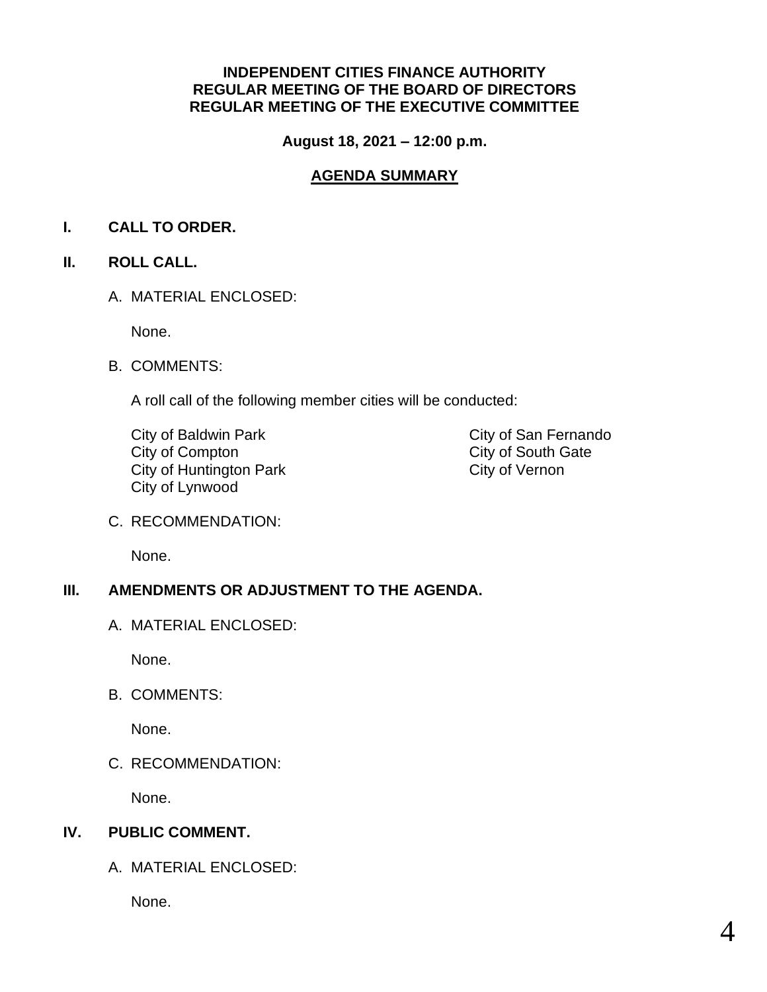## **INDEPENDENT CITIES FINANCE AUTHORITY REGULAR MEETING OF THE BOARD OF DIRECTORS REGULAR MEETING OF THE EXECUTIVE COMMITTEE**

**August 18, 2021 – 12:00 p.m.**

# **AGENDA SUMMARY**

# **I. CALL TO ORDER.**

# **II. ROLL CALL.**

A. MATERIAL ENCLOSED:

None.

B. COMMENTS:

A roll call of the following member cities will be conducted:

City of Baldwin Park City of San Fernando City of Compton<br>
City of Huntington Park<br>
City of Huntington Park<br>
City of Vernon City of Huntington Park City of Lynwood

C. RECOMMENDATION:

None.

# **III. AMENDMENTS OR ADJUSTMENT TO THE AGENDA.**

A. MATERIAL ENCLOSED:

None.

B. COMMENTS:

None.

C. RECOMMENDATION:

None.

# **IV. PUBLIC COMMENT.**

A. MATERIAL ENCLOSED:

None.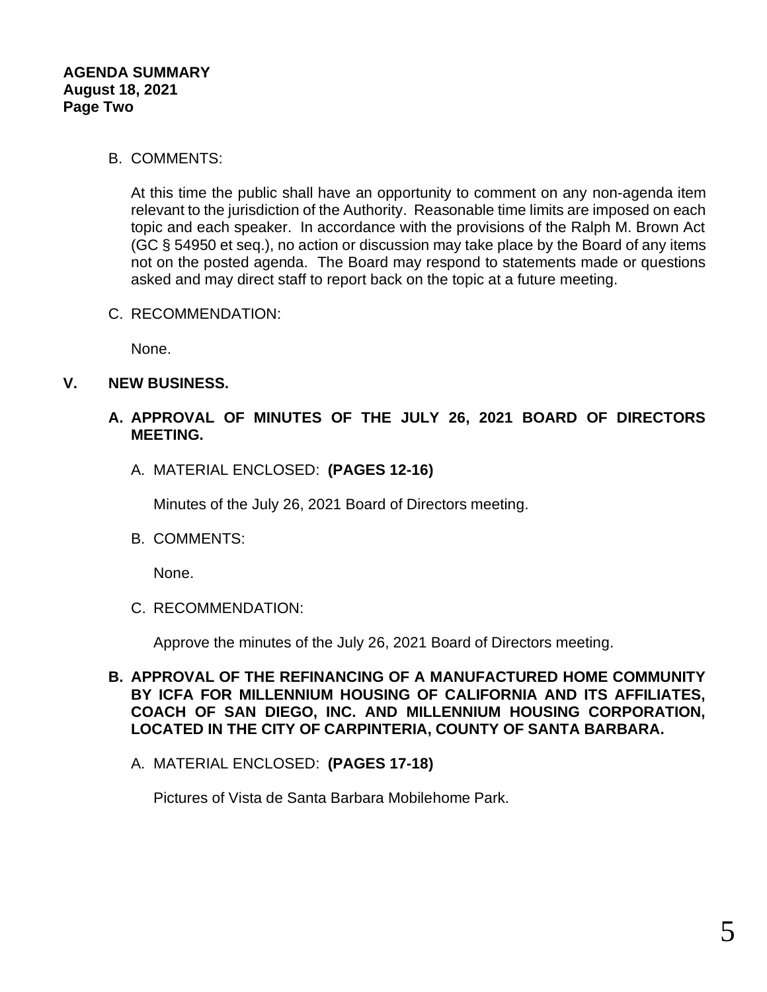## B. COMMENTS:

At this time the public shall have an opportunity to comment on any non-agenda item relevant to the jurisdiction of the Authority. Reasonable time limits are imposed on each topic and each speaker. In accordance with the provisions of the Ralph M. Brown Act (GC § 54950 et seq.), no action or discussion may take place by the Board of any items not on the posted agenda. The Board may respond to statements made or questions asked and may direct staff to report back on the topic at a future meeting.

C. RECOMMENDATION:

None.

# **V. NEW BUSINESS.**

## **A. APPROVAL OF MINUTES OF THE JULY 26, 2021 BOARD OF DIRECTORS MEETING.**

A. MATERIAL ENCLOSED: **(PAGES 12-16)**

Minutes of the July 26, 2021 Board of Directors meeting.

B. COMMENTS:

None.

C. RECOMMENDATION:

Approve the minutes of the July 26, 2021 Board of Directors meeting.

- **B. APPROVAL OF THE REFINANCING OF A MANUFACTURED HOME COMMUNITY BY ICFA FOR MILLENNIUM HOUSING OF CALIFORNIA AND ITS AFFILIATES, COACH OF SAN DIEGO, INC. AND MILLENNIUM HOUSING CORPORATION, LOCATED IN THE CITY OF CARPINTERIA, COUNTY OF SANTA BARBARA.**
	- A. MATERIAL ENCLOSED: **(PAGES 17-18)**

Pictures of Vista de Santa Barbara Mobilehome Park.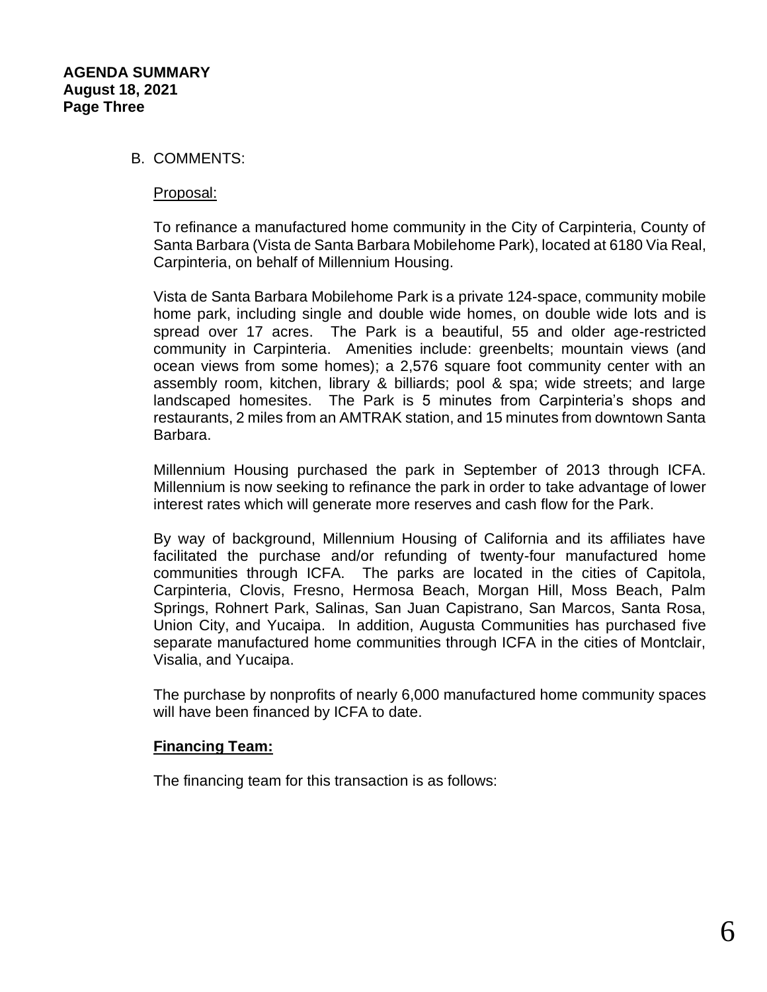### B. COMMENTS:

#### Proposal:

To refinance a manufactured home community in the City of Carpinteria, County of Santa Barbara (Vista de Santa Barbara Mobilehome Park), located at 6180 Via Real, Carpinteria, on behalf of Millennium Housing.

Vista de Santa Barbara Mobilehome Park is a private 124-space, community mobile home park, including single and double wide homes, on double wide lots and is spread over 17 acres. The Park is a beautiful, 55 and older age-restricted community in Carpinteria. Amenities include: greenbelts; mountain views (and ocean views from some homes); a 2,576 square foot community center with an assembly room, kitchen, library & billiards; pool & spa; wide streets; and large landscaped homesites. The Park is 5 minutes from Carpinteria's shops and restaurants, 2 miles from an AMTRAK station, and 15 minutes from downtown Santa Barbara.

Millennium Housing purchased the park in September of 2013 through ICFA. Millennium is now seeking to refinance the park in order to take advantage of lower interest rates which will generate more reserves and cash flow for the Park.

By way of background, Millennium Housing of California and its affiliates have facilitated the purchase and/or refunding of twenty-four manufactured home communities through ICFA. The parks are located in the cities of Capitola, Carpinteria, Clovis, Fresno, Hermosa Beach, Morgan Hill, Moss Beach, Palm Springs, Rohnert Park, Salinas, San Juan Capistrano, San Marcos, Santa Rosa, Union City, and Yucaipa. In addition, Augusta Communities has purchased five separate manufactured home communities through ICFA in the cities of Montclair, Visalia, and Yucaipa.

The purchase by nonprofits of nearly 6,000 manufactured home community spaces will have been financed by ICFA to date.

### **Financing Team:**

The financing team for this transaction is as follows: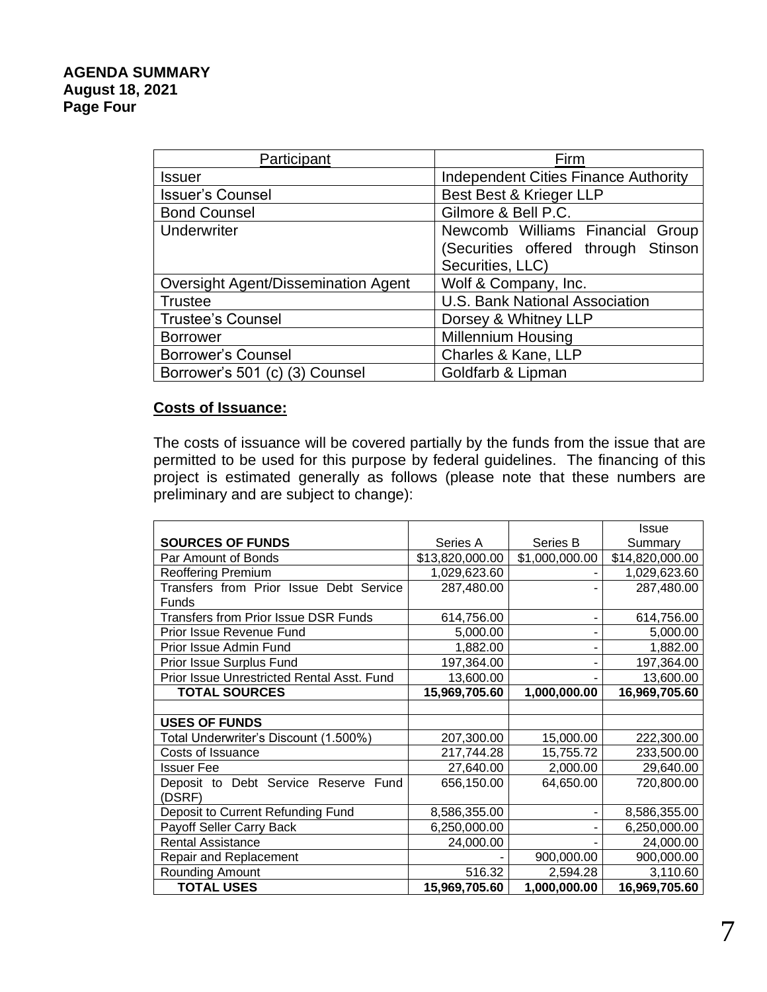## **AGENDA SUMMARY August 18, 2021 Page Four**

| Participant                                | Firm                                        |
|--------------------------------------------|---------------------------------------------|
| <b>Issuer</b>                              | <b>Independent Cities Finance Authority</b> |
| <b>Issuer's Counsel</b>                    | Best Best & Krieger LLP                     |
| <b>Bond Counsel</b>                        | Gilmore & Bell P.C.                         |
| Underwriter                                | Newcomb Williams Financial Group            |
|                                            | (Securities offered through Stinson         |
|                                            | Securities, LLC)                            |
| <b>Oversight Agent/Dissemination Agent</b> | Wolf & Company, Inc.                        |
| <b>Trustee</b>                             | U.S. Bank National Association              |
| <b>Trustee's Counsel</b>                   | Dorsey & Whitney LLP                        |
| <b>Borrower</b>                            | <b>Millennium Housing</b>                   |
| <b>Borrower's Counsel</b>                  | Charles & Kane, LLP                         |
| Borrower's 501 (c) (3) Counsel             | Goldfarb & Lipman                           |

# **Costs of Issuance:**

The costs of issuance will be covered partially by the funds from the issue that are permitted to be used for this purpose by federal guidelines. The financing of this project is estimated generally as follows (please note that these numbers are preliminary and are subject to change):

|                                             |                 |                | Issue           |
|---------------------------------------------|-----------------|----------------|-----------------|
| <b>SOURCES OF FUNDS</b>                     | Series A        | Series B       | Summary         |
| Par Amount of Bonds                         | \$13,820,000.00 | \$1,000,000.00 | \$14,820,000.00 |
| <b>Reoffering Premium</b>                   | 1,029,623.60    |                | 1,029,623.60    |
| Transfers from Prior Issue Debt Service     | 287,480.00      |                | 287,480.00      |
| Funds                                       |                 |                |                 |
| <b>Transfers from Prior Issue DSR Funds</b> | 614,756.00      |                | 614,756.00      |
| Prior Issue Revenue Fund                    | 5,000.00        |                | 5,000.00        |
| Prior Issue Admin Fund                      | 1,882.00        |                | 1,882.00        |
| Prior Issue Surplus Fund                    | 197,364.00      |                | 197,364.00      |
| Prior Issue Unrestricted Rental Asst. Fund  | 13,600.00       |                | 13,600.00       |
| <b>TOTAL SOURCES</b>                        | 15,969,705.60   | 1,000,000.00   | 16,969,705.60   |
|                                             |                 |                |                 |
| <b>USES OF FUNDS</b>                        |                 |                |                 |
| Total Underwriter's Discount (1.500%)       | 207,300.00      | 15,000.00      | 222,300.00      |
| Costs of Issuance                           | 217,744.28      | 15,755.72      | 233,500.00      |
| <b>Issuer Fee</b>                           | 27,640.00       | 2,000.00       | 29,640.00       |
| Deposit to Debt Service Reserve Fund        | 656,150.00      | 64,650.00      | 720,800.00      |
| (DSRF)                                      |                 |                |                 |
| Deposit to Current Refunding Fund           | 8,586,355.00    |                | 8,586,355.00    |
| Payoff Seller Carry Back                    | 6,250,000.00    |                | 6,250,000.00    |
| <b>Rental Assistance</b>                    | 24,000.00       |                | 24,000.00       |
| <b>Repair and Replacement</b>               |                 | 900,000.00     | 900,000.00      |
| Rounding Amount                             | 516.32          | 2,594.28       | 3,110.60        |
| <b>TOTAL USES</b>                           | 15,969,705.60   | 1,000,000.00   | 16,969,705.60   |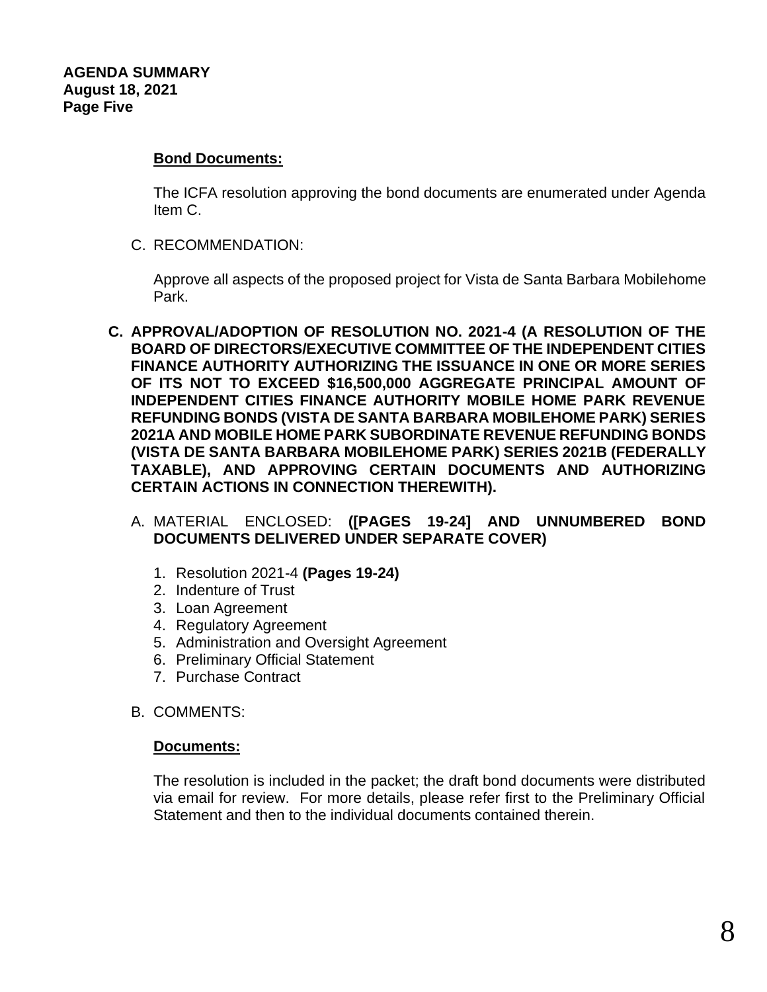## **Bond Documents:**

The ICFA resolution approving the bond documents are enumerated under Agenda Item C.

C. RECOMMENDATION:

Approve all aspects of the proposed project for Vista de Santa Barbara Mobilehome Park.

- **C. APPROVAL/ADOPTION OF RESOLUTION NO. 2021-4 (A RESOLUTION OF THE BOARD OF DIRECTORS/EXECUTIVE COMMITTEE OF THE INDEPENDENT CITIES FINANCE AUTHORITY AUTHORIZING THE ISSUANCE IN ONE OR MORE SERIES OF ITS NOT TO EXCEED \$16,500,000 AGGREGATE PRINCIPAL AMOUNT OF INDEPENDENT CITIES FINANCE AUTHORITY MOBILE HOME PARK REVENUE REFUNDING BONDS (VISTA DE SANTA BARBARA MOBILEHOME PARK) SERIES 2021A AND MOBILE HOME PARK SUBORDINATE REVENUE REFUNDING BONDS (VISTA DE SANTA BARBARA MOBILEHOME PARK) SERIES 2021B (FEDERALLY TAXABLE), AND APPROVING CERTAIN DOCUMENTS AND AUTHORIZING CERTAIN ACTIONS IN CONNECTION THEREWITH).**
	- A. MATERIAL ENCLOSED: **([PAGES 19-24] AND UNNUMBERED BOND DOCUMENTS DELIVERED UNDER SEPARATE COVER)**
		- 1. Resolution 2021-4 **(Pages 19-24)**
		- 2. Indenture of Trust
		- 3. Loan Agreement
		- 4. Regulatory Agreement
		- 5. Administration and Oversight Agreement
		- 6. Preliminary Official Statement
		- 7. Purchase Contract
	- B. COMMENTS:

### **Documents:**

The resolution is included in the packet; the draft bond documents were distributed via email for review. For more details, please refer first to the Preliminary Official Statement and then to the individual documents contained therein.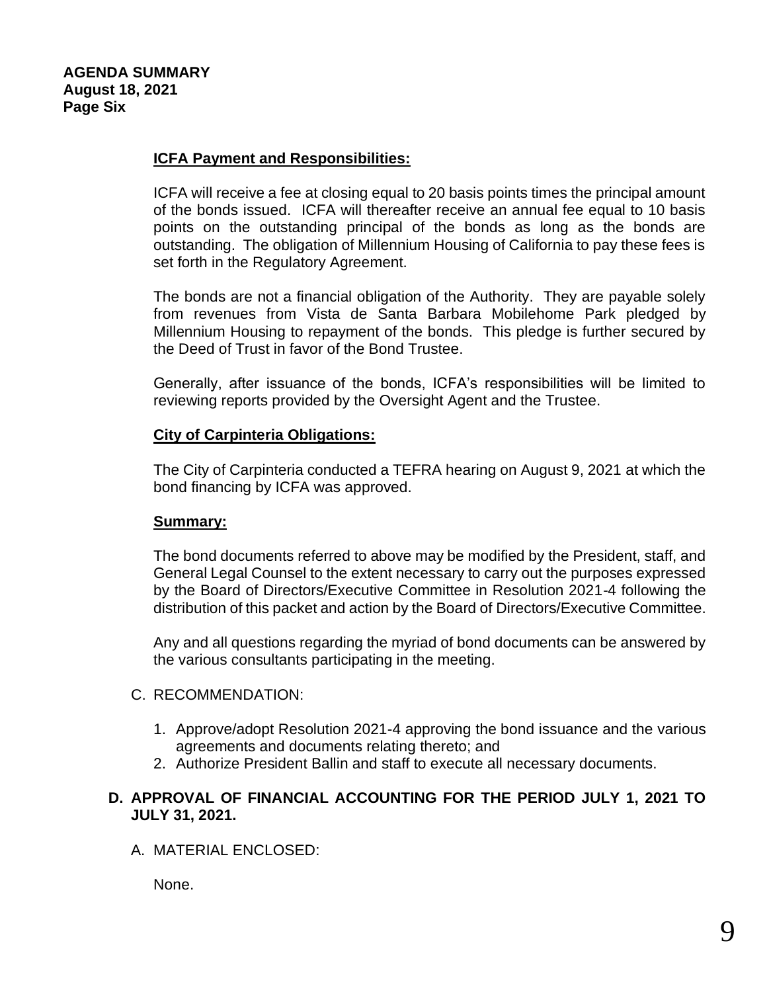# **ICFA Payment and Responsibilities:**

ICFA will receive a fee at closing equal to 20 basis points times the principal amount of the bonds issued. ICFA will thereafter receive an annual fee equal to 10 basis points on the outstanding principal of the bonds as long as the bonds are outstanding. The obligation of Millennium Housing of California to pay these fees is set forth in the Regulatory Agreement.

The bonds are not a financial obligation of the Authority. They are payable solely from revenues from Vista de Santa Barbara Mobilehome Park pledged by Millennium Housing to repayment of the bonds. This pledge is further secured by the Deed of Trust in favor of the Bond Trustee.

Generally, after issuance of the bonds, ICFA's responsibilities will be limited to reviewing reports provided by the Oversight Agent and the Trustee.

## **City of Carpinteria Obligations:**

The City of Carpinteria conducted a TEFRA hearing on August 9, 2021 at which the bond financing by ICFA was approved.

### **Summary:**

The bond documents referred to above may be modified by the President, staff, and General Legal Counsel to the extent necessary to carry out the purposes expressed by the Board of Directors/Executive Committee in Resolution 2021-4 following the distribution of this packet and action by the Board of Directors/Executive Committee.

Any and all questions regarding the myriad of bond documents can be answered by the various consultants participating in the meeting.

## C. RECOMMENDATION:

- 1. Approve/adopt Resolution 2021-4 approving the bond issuance and the various agreements and documents relating thereto; and
- 2. Authorize President Ballin and staff to execute all necessary documents.

# **D. APPROVAL OF FINANCIAL ACCOUNTING FOR THE PERIOD JULY 1, 2021 TO JULY 31, 2021.**

A. MATERIAL ENCLOSED:

None.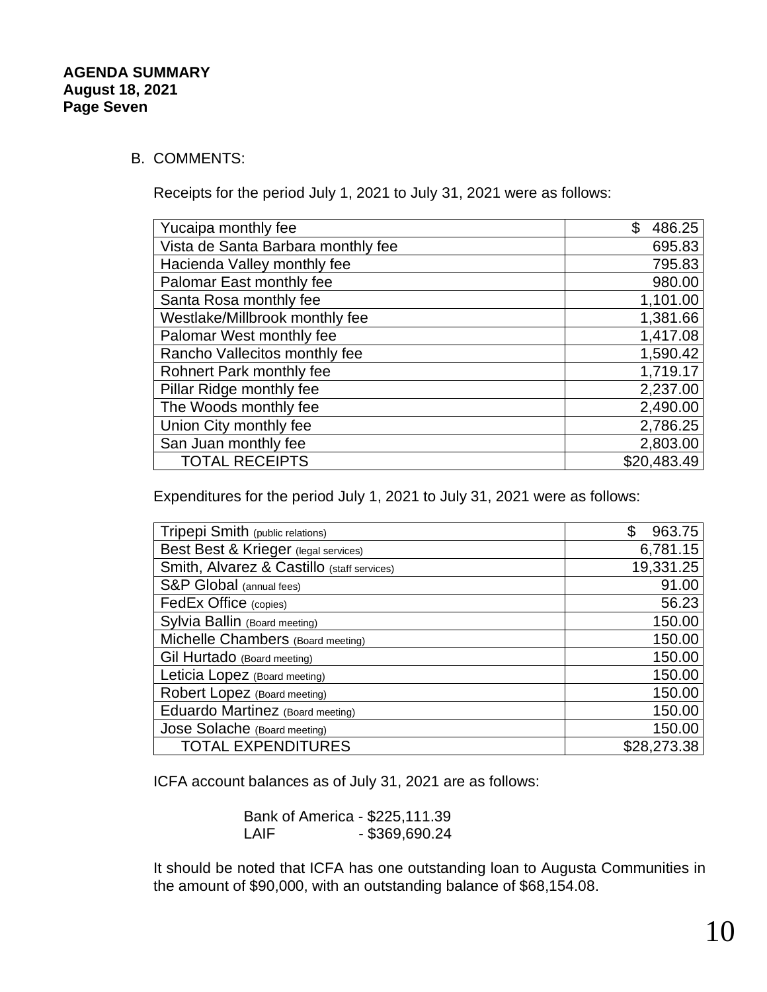## B. COMMENTS:

Receipts for the period July 1, 2021 to July 31, 2021 were as follows:

| \$<br>486.25 |
|--------------|
| 695.83       |
| 795.83       |
| 980.00       |
| 1,101.00     |
| 1,381.66     |
| 1,417.08     |
| 1,590.42     |
| 1,719.17     |
| 2,237.00     |
| 2,490.00     |
| 2,786.25     |
| 2,803.00     |
| \$20,483.49  |
|              |

Expenditures for the period July 1, 2021 to July 31, 2021 were as follows:

| Tripepi Smith (public relations)           | 963.75      |
|--------------------------------------------|-------------|
| Best Best & Krieger (legal services)       | 6,781.15    |
| Smith, Alvarez & Castillo (staff services) | 19,331.25   |
| S&P Global (annual fees)                   | 91.00       |
| FedEx Office (copies)                      | 56.23       |
| Sylvia Ballin (Board meeting)              | 150.00      |
| Michelle Chambers (Board meeting)          | 150.00      |
| Gil Hurtado (Board meeting)                | 150.00      |
| Leticia Lopez (Board meeting)              | 150.00      |
| Robert Lopez (Board meeting)               | 150.00      |
| Eduardo Martinez (Board meeting)           | 150.00      |
| Jose Solache (Board meeting)               | 150.00      |
| <b>TOTAL EXPENDITURES</b>                  | \$28,273.38 |

ICFA account balances as of July 31, 2021 are as follows:

Bank of America - \$225,111.39 LAIF - \$369,690.24

It should be noted that ICFA has one outstanding loan to Augusta Communities in the amount of \$90,000, with an outstanding balance of \$68,154.08.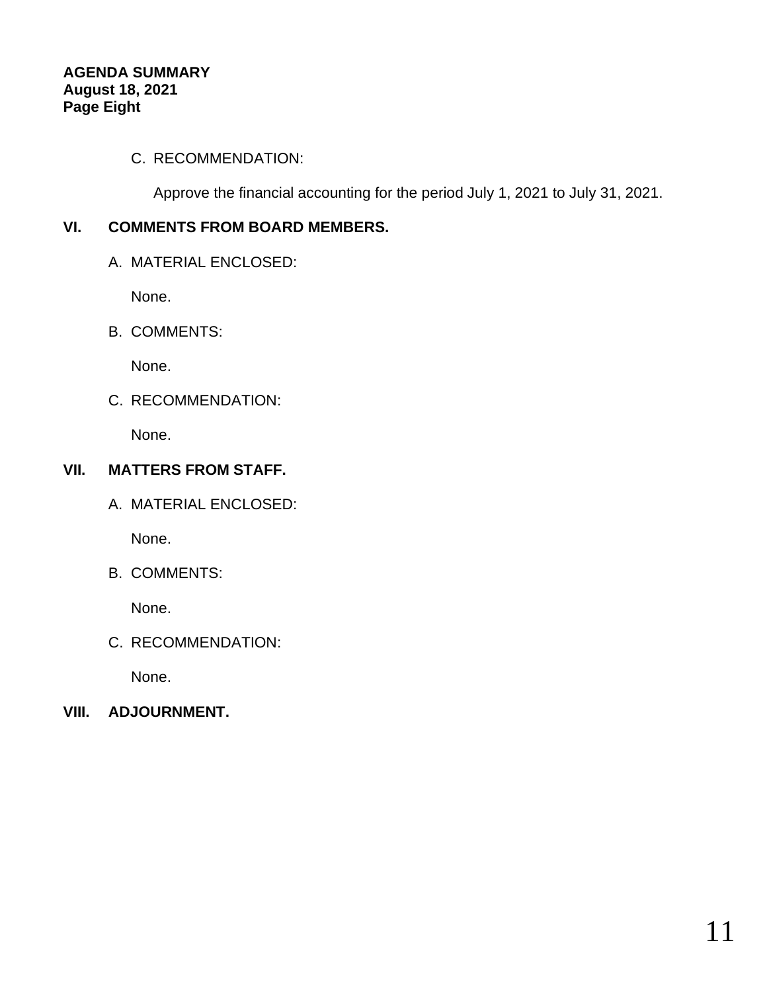# C. RECOMMENDATION:

Approve the financial accounting for the period July 1, 2021 to July 31, 2021.

# **VI. COMMENTS FROM BOARD MEMBERS.**

A. MATERIAL ENCLOSED:

None.

B. COMMENTS:

None.

C. RECOMMENDATION:

None.

# **VII. MATTERS FROM STAFF.**

A. MATERIAL ENCLOSED:

None.

B. COMMENTS:

None.

C. RECOMMENDATION:

None.

**VIII. ADJOURNMENT.**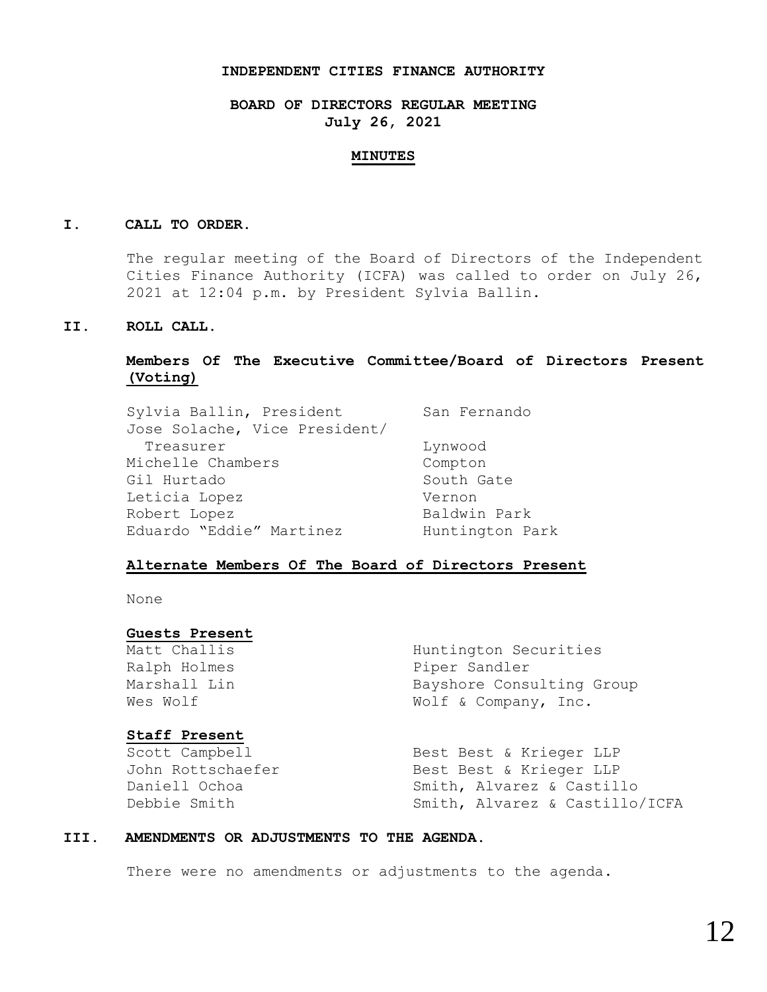#### **INDEPENDENT CITIES FINANCE AUTHORITY**

### **BOARD OF DIRECTORS REGULAR MEETING July 26, 2021**

#### **MINUTES**

#### **I. CALL TO ORDER.**

The regular meeting of the Board of Directors of the Independent Cities Finance Authority (ICFA) was called to order on July 26, 2021 at 12:04 p.m. by President Sylvia Ballin.

#### **II. ROLL CALL.**

#### **Members Of The Executive Committee/Board of Directors Present (Voting)**

| Sylvia Ballin, President      | San Fernando    |
|-------------------------------|-----------------|
| Jose Solache, Vice President/ |                 |
| Treasurer                     | Lynwood         |
| Michelle Chambers             | Compton         |
| Gil Hurtado                   | South Gate      |
| Leticia Lopez                 | Vernon          |
| Robert Lopez                  | Baldwin Park    |
| Eduardo "Eddie" Martinez      | Huntington Park |

#### **Alternate Members Of The Board of Directors Present**

None

#### **Guests Present**

Matt Challis **Huntington Securities** Ralph Holmes **Piper Sandler** 

# Marshall Lin Bayshore Consulting Group Wes Wolf  $W$  Wolf & Company, Inc.

| <b>Staff Present</b> |                                |
|----------------------|--------------------------------|
| Scott Campbell       | Best Best & Krieger LLP        |
| John Rottschaefer    | Best Best & Krieger LLP        |
| Daniell Ochoa        | Smith, Alvarez & Castillo      |
| Debbie Smith         | Smith, Alvarez & Castillo/ICFA |

#### **III. AMENDMENTS OR ADJUSTMENTS TO THE AGENDA.**

There were no amendments or adjustments to the agenda.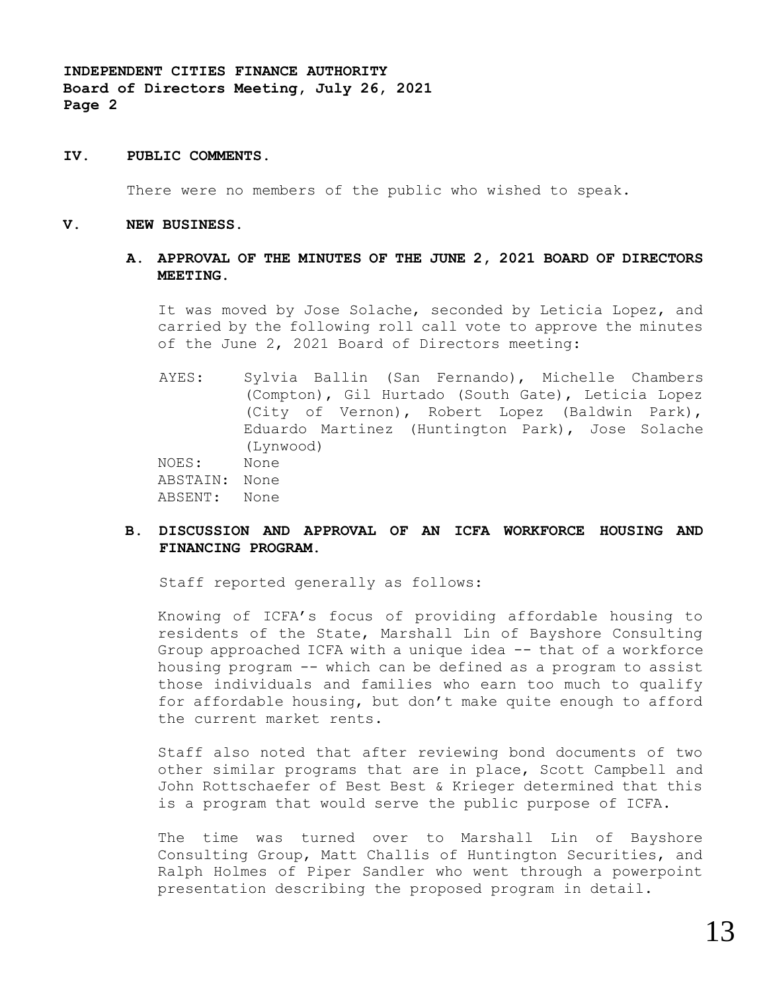**INDEPENDENT CITIES FINANCE AUTHORITY Board of Directors Meeting, July 26, 2021 Page 2**

#### **IV. PUBLIC COMMENTS.**

There were no members of the public who wished to speak.

**V. NEW BUSINESS.**

#### **A. APPROVAL OF THE MINUTES OF THE JUNE 2, 2021 BOARD OF DIRECTORS MEETING.**

It was moved by Jose Solache, seconded by Leticia Lopez, and carried by the following roll call vote to approve the minutes of the June 2, 2021 Board of Directors meeting:

AYES: Sylvia Ballin (San Fernando), Michelle Chambers (Compton), Gil Hurtado (South Gate), Leticia Lopez (City of Vernon), Robert Lopez (Baldwin Park), Eduardo Martinez (Huntington Park), Jose Solache (Lynwood) NOES: None ABSTAIN: None ABSENT: None

#### **B. DISCUSSION AND APPROVAL OF AN ICFA WORKFORCE HOUSING AND FINANCING PROGRAM.**

Staff reported generally as follows:

Knowing of ICFA's focus of providing affordable housing to residents of the State, Marshall Lin of Bayshore Consulting Group approached ICFA with a unique idea -- that of a workforce housing program -- which can be defined as a program to assist those individuals and families who earn too much to qualify for affordable housing, but don't make quite enough to afford the current market rents.

Staff also noted that after reviewing bond documents of two other similar programs that are in place, Scott Campbell and John Rottschaefer of Best Best & Krieger determined that this is a program that would serve the public purpose of ICFA.

The time was turned over to Marshall Lin of Bayshore Consulting Group, Matt Challis of Huntington Securities, and Ralph Holmes of Piper Sandler who went through a powerpoint presentation describing the proposed program in detail.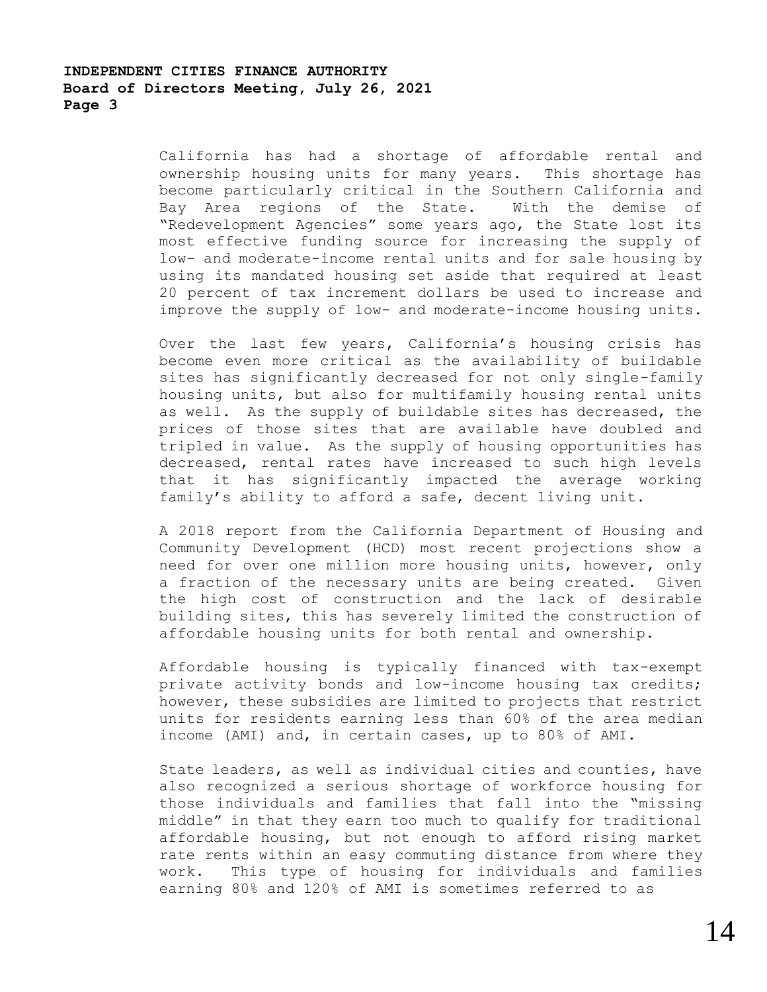### **INDEPENDENT CITIES FINANCE AUTHORITY Board of Directors Meeting, July 26, 2021 Page 3**

California has had a shortage of affordable rental and ownership housing units for many years. This shortage has become particularly critical in the Southern California and Bay Area regions of the State. With the demise of "Redevelopment Agencies" some years ago, the State lost its most effective funding source for increasing the supply of low- and moderate-income rental units and for sale housing by using its mandated housing set aside that required at least 20 percent of tax increment dollars be used to increase and improve the supply of low- and moderate-income housing units.

Over the last few years, California's housing crisis has become even more critical as the availability of buildable sites has significantly decreased for not only single-family housing units, but also for multifamily housing rental units as well. As the supply of buildable sites has decreased, the prices of those sites that are available have doubled and tripled in value. As the supply of housing opportunities has decreased, rental rates have increased to such high levels that it has significantly impacted the average working family's ability to afford a safe, decent living unit.

A 2018 report from the California Department of Housing and Community Development (HCD) most recent projections show a need for over one million more housing units, however, only a fraction of the necessary units are being created. Given the high cost of construction and the lack of desirable building sites, this has severely limited the construction of affordable housing units for both rental and ownership.

Affordable housing is typically financed with tax-exempt private activity bonds and low-income housing tax credits; however, these subsidies are limited to projects that restrict units for residents earning less than 60% of the area median income (AMI) and, in certain cases, up to 80% of AMI.

State leaders, as well as individual cities and counties, have also recognized a serious shortage of workforce housing for those individuals and families that fall into the "missing middle" in that they earn too much to qualify for traditional affordable housing, but not enough to afford rising market rate rents within an easy commuting distance from where they work. This type of housing for individuals and families earning 80% and 120% of AMI is sometimes referred to as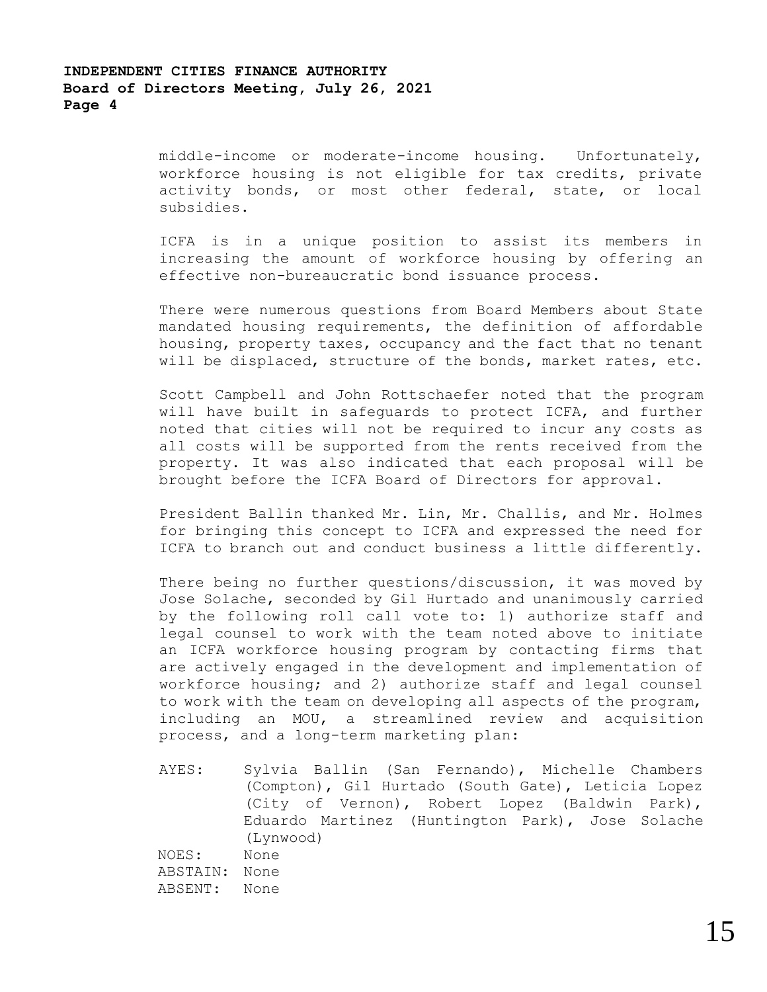## **INDEPENDENT CITIES FINANCE AUTHORITY Board of Directors Meeting, July 26, 2021 Page 4**

middle-income or moderate-income housing. Unfortunately, workforce housing is not eligible for tax credits, private activity bonds, or most other federal, state, or local subsidies.

ICFA is in a unique position to assist its members in increasing the amount of workforce housing by offering an effective non-bureaucratic bond issuance process.

There were numerous questions from Board Members about State mandated housing requirements, the definition of affordable housing, property taxes, occupancy and the fact that no tenant will be displaced, structure of the bonds, market rates, etc.

Scott Campbell and John Rottschaefer noted that the program will have built in safeguards to protect ICFA, and further noted that cities will not be required to incur any costs as all costs will be supported from the rents received from the property. It was also indicated that each proposal will be brought before the ICFA Board of Directors for approval.

President Ballin thanked Mr. Lin, Mr. Challis, and Mr. Holmes for bringing this concept to ICFA and expressed the need for ICFA to branch out and conduct business a little differently.

There being no further questions/discussion, it was moved by Jose Solache, seconded by Gil Hurtado and unanimously carried by the following roll call vote to: 1) authorize staff and legal counsel to work with the team noted above to initiate an ICFA workforce housing program by contacting firms that are actively engaged in the development and implementation of workforce housing; and 2) authorize staff and legal counsel to work with the team on developing all aspects of the program, including an MOU, a streamlined review and acquisition process, and a long-term marketing plan:

AYES: Sylvia Ballin (San Fernando), Michelle Chambers (Compton), Gil Hurtado (South Gate), Leticia Lopez (City of Vernon), Robert Lopez (Baldwin Park), Eduardo Martinez (Huntington Park), Jose Solache (Lynwood) NOES: None ABSTAIN: None ABSENT: None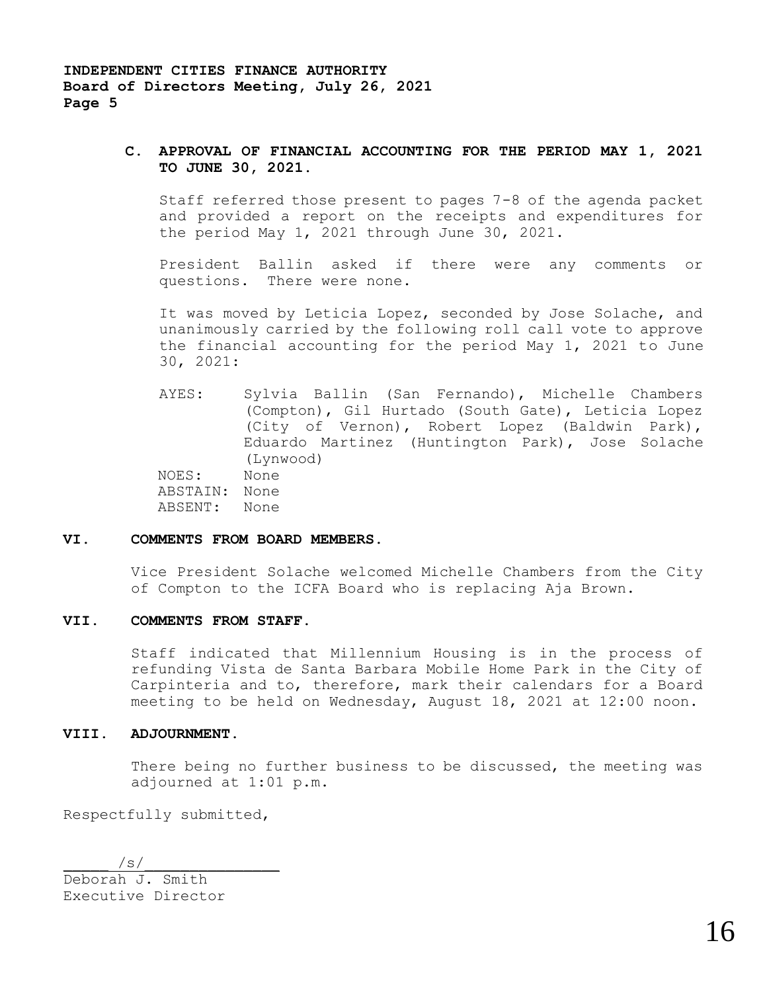#### **C. APPROVAL OF FINANCIAL ACCOUNTING FOR THE PERIOD MAY 1, 2021 TO JUNE 30, 2021.**

Staff referred those present to pages 7-8 of the agenda packet and provided a report on the receipts and expenditures for the period May 1, 2021 through June 30, 2021.

President Ballin asked if there were any comments or questions. There were none.

It was moved by Leticia Lopez, seconded by Jose Solache, and unanimously carried by the following roll call vote to approve the financial accounting for the period May 1, 2021 to June 30, 2021:

AYES: Sylvia Ballin (San Fernando), Michelle Chambers (Compton), Gil Hurtado (South Gate), Leticia Lopez (City of Vernon), Robert Lopez (Baldwin Park), Eduardo Martinez (Huntington Park), Jose Solache (Lynwood) NOES: None ABSTAIN: None ABSENT: None

#### **VI. COMMENTS FROM BOARD MEMBERS.**

Vice President Solache welcomed Michelle Chambers from the City of Compton to the ICFA Board who is replacing Aja Brown.

#### **VII. COMMENTS FROM STAFF.**

Staff indicated that Millennium Housing is in the process of refunding Vista de Santa Barbara Mobile Home Park in the City of Carpinteria and to, therefore, mark their calendars for a Board meeting to be held on Wednesday, August 18, 2021 at 12:00 noon.

#### **VIII. ADJOURNMENT.**

There being no further business to be discussed, the meeting was adjourned at 1:01 p.m.

Respectfully submitted,

 $/s/$ Deborah J. Smith Executive Director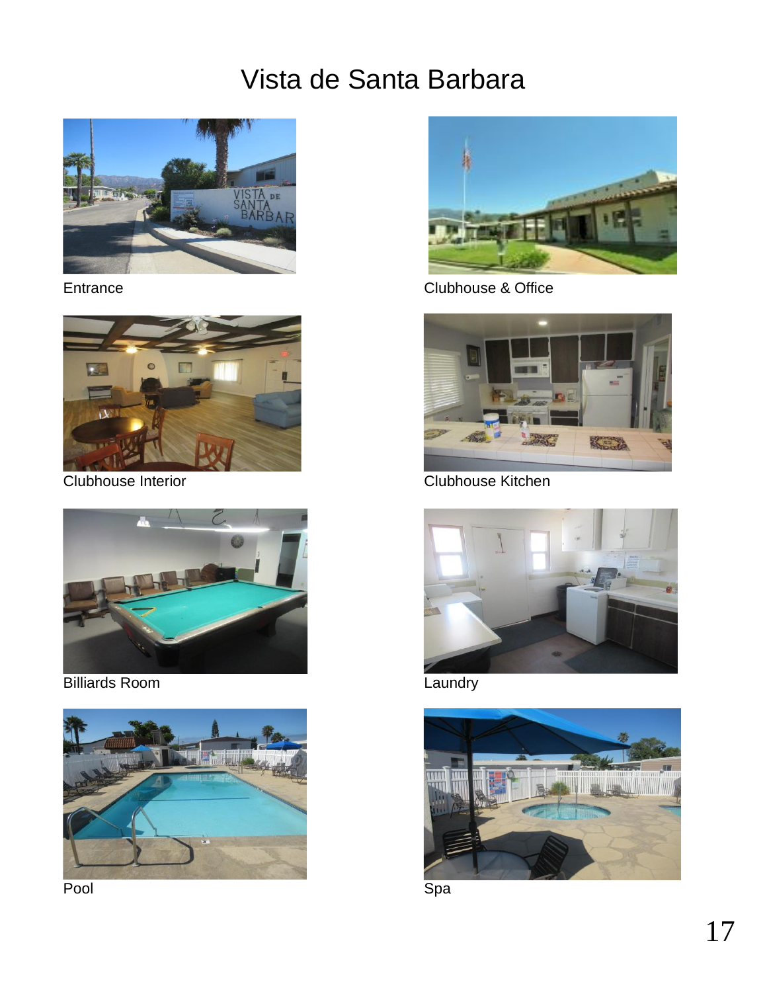# Vista de Santa Barbara







Billiards Room **Laundry Laundry** 



Pool **Space Space Space Space Space Space Space Space Space Space Space Space Space Space Space Space Space Space Sp** 



Entrance Clubhouse & Office



Clubhouse Interior Clubhouse Kitchen



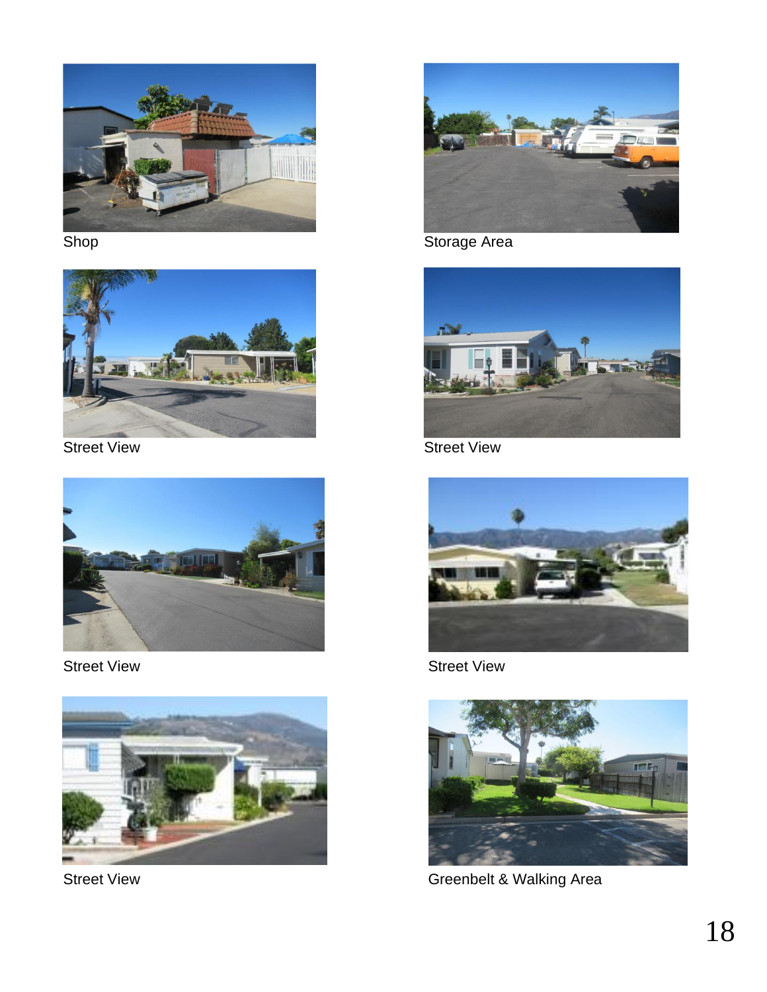



**Street View Street View Street View Street View Street View** 



Street View Street View Street View Street View Street View Street View Street View Street View Street View Street View Street View Street View Street View Street View Street View Street View Street View Street View Street





Shop Shop Shop Storage Area







Street View **Greenbelt & Walking Area**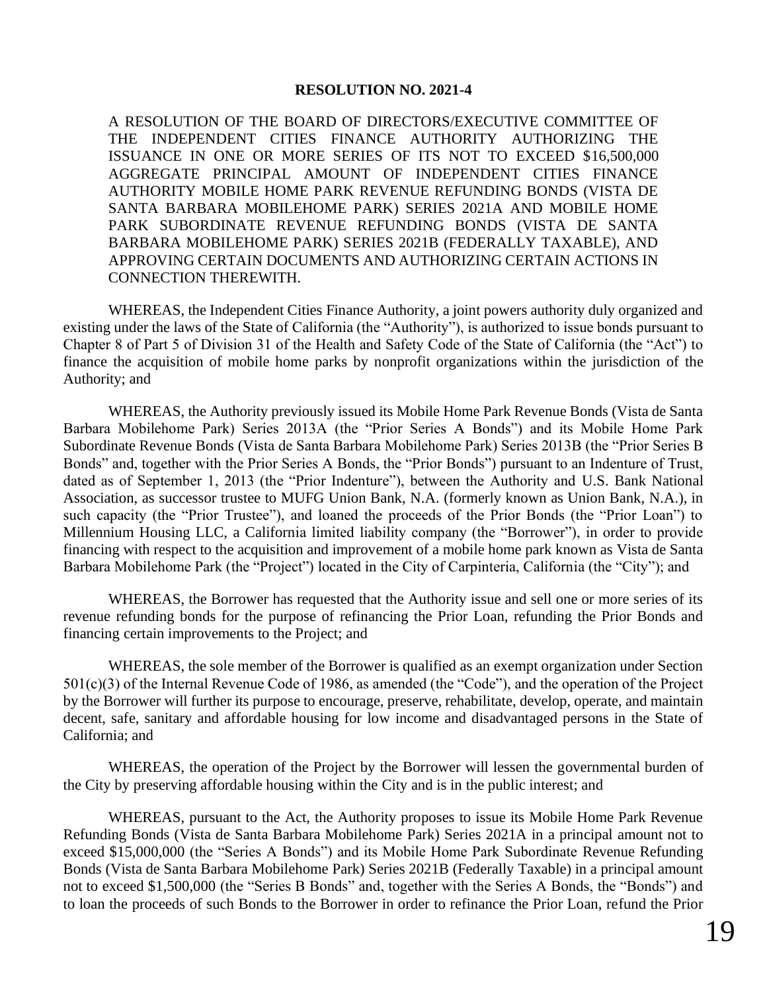## **RESOLUTION NO. 2021-4**

A RESOLUTION OF THE BOARD OF DIRECTORS/EXECUTIVE COMMITTEE OF THE INDEPENDENT CITIES FINANCE AUTHORITY AUTHORIZING THE ISSUANCE IN ONE OR MORE SERIES OF ITS NOT TO EXCEED \$16,500,000 AGGREGATE PRINCIPAL AMOUNT OF INDEPENDENT CITIES FINANCE AUTHORITY MOBILE HOME PARK REVENUE REFUNDING BONDS (VISTA DE SANTA BARBARA MOBILEHOME PARK) SERIES 2021A AND MOBILE HOME PARK SUBORDINATE REVENUE REFUNDING BONDS (VISTA DE SANTA BARBARA MOBILEHOME PARK) SERIES 2021B (FEDERALLY TAXABLE), AND APPROVING CERTAIN DOCUMENTS AND AUTHORIZING CERTAIN ACTIONS IN CONNECTION THEREWITH.

WHEREAS, the Independent Cities Finance Authority, a joint powers authority duly organized and existing under the laws of the State of California (the "Authority"), is authorized to issue bonds pursuant to Chapter 8 of Part 5 of Division 31 of the Health and Safety Code of the State of California (the "Act") to finance the acquisition of mobile home parks by nonprofit organizations within the jurisdiction of the Authority; and

WHEREAS, the Authority previously issued its Mobile Home Park Revenue Bonds (Vista de Santa Barbara Mobilehome Park) Series 2013A (the "Prior Series A Bonds") and its Mobile Home Park Subordinate Revenue Bonds (Vista de Santa Barbara Mobilehome Park) Series 2013B (the "Prior Series B Bonds" and, together with the Prior Series A Bonds, the "Prior Bonds") pursuant to an Indenture of Trust, dated as of September 1, 2013 (the "Prior Indenture"), between the Authority and U.S. Bank National Association, as successor trustee to MUFG Union Bank, N.A. (formerly known as Union Bank, N.A.), in such capacity (the "Prior Trustee"), and loaned the proceeds of the Prior Bonds (the "Prior Loan") to Millennium Housing LLC, a California limited liability company (the "Borrower"), in order to provide financing with respect to the acquisition and improvement of a mobile home park known as Vista de Santa Barbara Mobilehome Park (the "Project") located in the City of Carpinteria, California (the "City"); and

WHEREAS, the Borrower has requested that the Authority issue and sell one or more series of its revenue refunding bonds for the purpose of refinancing the Prior Loan, refunding the Prior Bonds and financing certain improvements to the Project; and

WHEREAS, the sole member of the Borrower is qualified as an exempt organization under Section 501(c)(3) of the Internal Revenue Code of 1986, as amended (the "Code"), and the operation of the Project by the Borrower will further its purpose to encourage, preserve, rehabilitate, develop, operate, and maintain decent, safe, sanitary and affordable housing for low income and disadvantaged persons in the State of California; and

WHEREAS, the operation of the Project by the Borrower will lessen the governmental burden of the City by preserving affordable housing within the City and is in the public interest; and

WHEREAS, pursuant to the Act, the Authority proposes to issue its Mobile Home Park Revenue Refunding Bonds (Vista de Santa Barbara Mobilehome Park) Series 2021A in a principal amount not to exceed \$15,000,000 (the "Series A Bonds") and its Mobile Home Park Subordinate Revenue Refunding Bonds (Vista de Santa Barbara Mobilehome Park) Series 2021B (Federally Taxable) in a principal amount not to exceed \$1,500,000 (the "Series B Bonds" and, together with the Series A Bonds, the "Bonds") and to loan the proceeds of such Bonds to the Borrower in order to refinance the Prior Loan, refund the Prior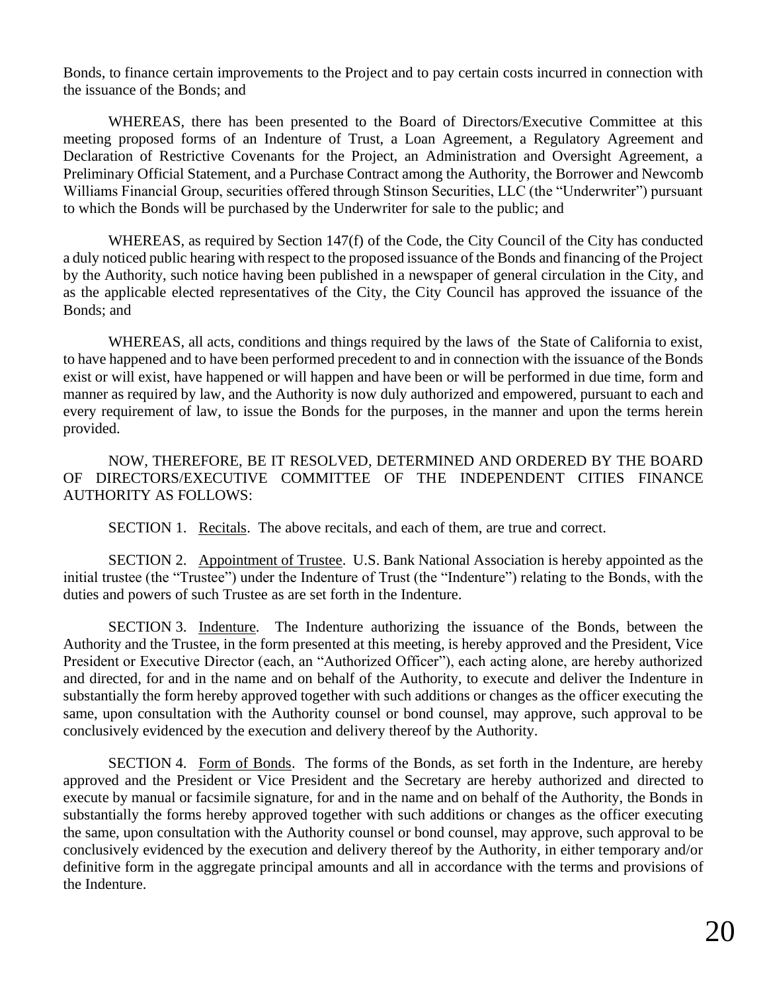Bonds, to finance certain improvements to the Project and to pay certain costs incurred in connection with the issuance of the Bonds; and

WHEREAS, there has been presented to the Board of Directors/Executive Committee at this meeting proposed forms of an Indenture of Trust, a Loan Agreement, a Regulatory Agreement and Declaration of Restrictive Covenants for the Project, an Administration and Oversight Agreement, a Preliminary Official Statement, and a Purchase Contract among the Authority, the Borrower and Newcomb Williams Financial Group, securities offered through Stinson Securities, LLC (the "Underwriter") pursuant to which the Bonds will be purchased by the Underwriter for sale to the public; and

WHEREAS, as required by Section 147(f) of the Code, the City Council of the City has conducted a duly noticed public hearing with respect to the proposed issuance of the Bonds and financing of the Project by the Authority, such notice having been published in a newspaper of general circulation in the City, and as the applicable elected representatives of the City, the City Council has approved the issuance of the Bonds; and

WHEREAS, all acts, conditions and things required by the laws of the State of California to exist, to have happened and to have been performed precedent to and in connection with the issuance of the Bonds exist or will exist, have happened or will happen and have been or will be performed in due time, form and manner as required by law, and the Authority is now duly authorized and empowered, pursuant to each and every requirement of law, to issue the Bonds for the purposes, in the manner and upon the terms herein provided.

NOW, THEREFORE, BE IT RESOLVED, DETERMINED AND ORDERED BY THE BOARD OF DIRECTORS/EXECUTIVE COMMITTEE OF THE INDEPENDENT CITIES FINANCE AUTHORITY AS FOLLOWS:

SECTION 1. Recitals. The above recitals, and each of them, are true and correct.

SECTION 2. Appointment of Trustee. U.S. Bank National Association is hereby appointed as the initial trustee (the "Trustee") under the Indenture of Trust (the "Indenture") relating to the Bonds, with the duties and powers of such Trustee as are set forth in the Indenture.

SECTION 3. Indenture. The Indenture authorizing the issuance of the Bonds, between the Authority and the Trustee, in the form presented at this meeting, is hereby approved and the President, Vice President or Executive Director (each, an "Authorized Officer"), each acting alone, are hereby authorized and directed, for and in the name and on behalf of the Authority, to execute and deliver the Indenture in substantially the form hereby approved together with such additions or changes as the officer executing the same, upon consultation with the Authority counsel or bond counsel, may approve, such approval to be conclusively evidenced by the execution and delivery thereof by the Authority.

SECTION 4. Form of Bonds. The forms of the Bonds, as set forth in the Indenture, are hereby approved and the President or Vice President and the Secretary are hereby authorized and directed to execute by manual or facsimile signature, for and in the name and on behalf of the Authority, the Bonds in substantially the forms hereby approved together with such additions or changes as the officer executing the same, upon consultation with the Authority counsel or bond counsel, may approve, such approval to be conclusively evidenced by the execution and delivery thereof by the Authority, in either temporary and/or definitive form in the aggregate principal amounts and all in accordance with the terms and provisions of the Indenture.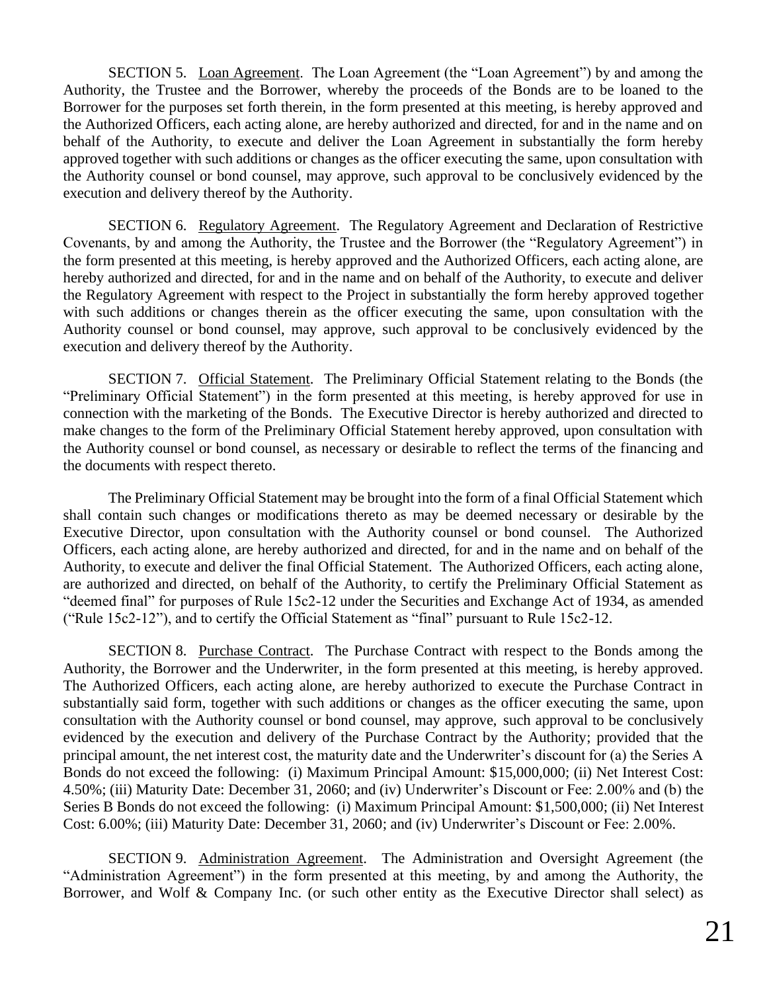SECTION 5. Loan Agreement. The Loan Agreement (the "Loan Agreement") by and among the Authority, the Trustee and the Borrower, whereby the proceeds of the Bonds are to be loaned to the Borrower for the purposes set forth therein, in the form presented at this meeting, is hereby approved and the Authorized Officers, each acting alone, are hereby authorized and directed, for and in the name and on behalf of the Authority, to execute and deliver the Loan Agreement in substantially the form hereby approved together with such additions or changes as the officer executing the same, upon consultation with the Authority counsel or bond counsel, may approve, such approval to be conclusively evidenced by the execution and delivery thereof by the Authority.

SECTION 6. Regulatory Agreement. The Regulatory Agreement and Declaration of Restrictive Covenants, by and among the Authority, the Trustee and the Borrower (the "Regulatory Agreement") in the form presented at this meeting, is hereby approved and the Authorized Officers, each acting alone, are hereby authorized and directed, for and in the name and on behalf of the Authority, to execute and deliver the Regulatory Agreement with respect to the Project in substantially the form hereby approved together with such additions or changes therein as the officer executing the same, upon consultation with the Authority counsel or bond counsel, may approve, such approval to be conclusively evidenced by the execution and delivery thereof by the Authority.

SECTION 7. Official Statement. The Preliminary Official Statement relating to the Bonds (the "Preliminary Official Statement") in the form presented at this meeting, is hereby approved for use in connection with the marketing of the Bonds. The Executive Director is hereby authorized and directed to make changes to the form of the Preliminary Official Statement hereby approved, upon consultation with the Authority counsel or bond counsel, as necessary or desirable to reflect the terms of the financing and the documents with respect thereto.

The Preliminary Official Statement may be brought into the form of a final Official Statement which shall contain such changes or modifications thereto as may be deemed necessary or desirable by the Executive Director, upon consultation with the Authority counsel or bond counsel. The Authorized Officers, each acting alone, are hereby authorized and directed, for and in the name and on behalf of the Authority, to execute and deliver the final Official Statement. The Authorized Officers, each acting alone, are authorized and directed, on behalf of the Authority, to certify the Preliminary Official Statement as "deemed final" for purposes of Rule 15c2-12 under the Securities and Exchange Act of 1934, as amended ("Rule 15c2-12"), and to certify the Official Statement as "final" pursuant to Rule 15c2-12.

SECTION 8. Purchase Contract. The Purchase Contract with respect to the Bonds among the Authority, the Borrower and the Underwriter, in the form presented at this meeting, is hereby approved. The Authorized Officers, each acting alone, are hereby authorized to execute the Purchase Contract in substantially said form, together with such additions or changes as the officer executing the same, upon consultation with the Authority counsel or bond counsel, may approve, such approval to be conclusively evidenced by the execution and delivery of the Purchase Contract by the Authority; provided that the principal amount, the net interest cost, the maturity date and the Underwriter's discount for (a) the Series A Bonds do not exceed the following: (i) Maximum Principal Amount: \$15,000,000; (ii) Net Interest Cost: 4.50%; (iii) Maturity Date: December 31, 2060; and (iv) Underwriter's Discount or Fee: 2.00% and (b) the Series B Bonds do not exceed the following: (i) Maximum Principal Amount: \$1,500,000; (ii) Net Interest Cost: 6.00%; (iii) Maturity Date: December 31, 2060; and (iv) Underwriter's Discount or Fee: 2.00%.

SECTION 9. Administration Agreement. The Administration and Oversight Agreement (the "Administration Agreement") in the form presented at this meeting, by and among the Authority, the Borrower, and Wolf & Company Inc. (or such other entity as the Executive Director shall select) as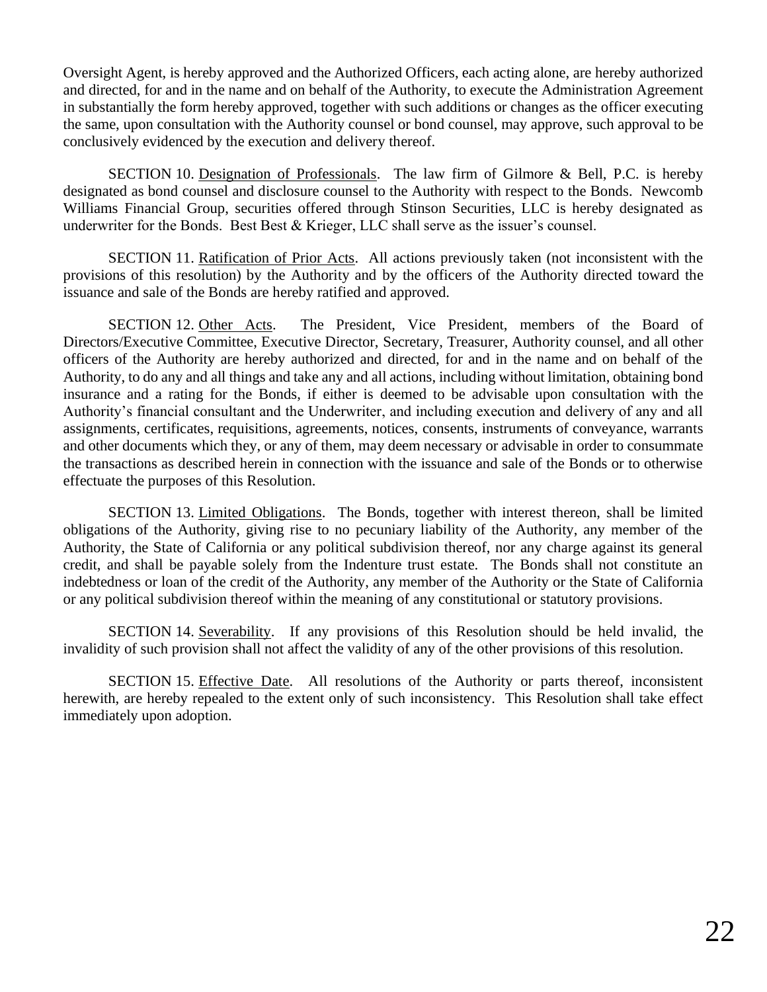Oversight Agent, is hereby approved and the Authorized Officers, each acting alone, are hereby authorized and directed, for and in the name and on behalf of the Authority, to execute the Administration Agreement in substantially the form hereby approved, together with such additions or changes as the officer executing the same, upon consultation with the Authority counsel or bond counsel, may approve, such approval to be conclusively evidenced by the execution and delivery thereof.

SECTION 10. Designation of Professionals. The law firm of Gilmore & Bell, P.C. is hereby designated as bond counsel and disclosure counsel to the Authority with respect to the Bonds. Newcomb Williams Financial Group, securities offered through Stinson Securities, LLC is hereby designated as underwriter for the Bonds. Best Best & Krieger, LLC shall serve as the issuer's counsel.

SECTION 11. Ratification of Prior Acts. All actions previously taken (not inconsistent with the provisions of this resolution) by the Authority and by the officers of the Authority directed toward the issuance and sale of the Bonds are hereby ratified and approved.

SECTION 12. Other Acts. The President, Vice President, members of the Board of Directors/Executive Committee, Executive Director, Secretary, Treasurer, Authority counsel, and all other officers of the Authority are hereby authorized and directed, for and in the name and on behalf of the Authority, to do any and all things and take any and all actions, including without limitation, obtaining bond insurance and a rating for the Bonds, if either is deemed to be advisable upon consultation with the Authority's financial consultant and the Underwriter, and including execution and delivery of any and all assignments, certificates, requisitions, agreements, notices, consents, instruments of conveyance, warrants and other documents which they, or any of them, may deem necessary or advisable in order to consummate the transactions as described herein in connection with the issuance and sale of the Bonds or to otherwise effectuate the purposes of this Resolution.

SECTION 13. Limited Obligations. The Bonds, together with interest thereon, shall be limited obligations of the Authority, giving rise to no pecuniary liability of the Authority, any member of the Authority, the State of California or any political subdivision thereof, nor any charge against its general credit, and shall be payable solely from the Indenture trust estate. The Bonds shall not constitute an indebtedness or loan of the credit of the Authority, any member of the Authority or the State of California or any political subdivision thereof within the meaning of any constitutional or statutory provisions.

SECTION 14. Severability. If any provisions of this Resolution should be held invalid, the invalidity of such provision shall not affect the validity of any of the other provisions of this resolution.

SECTION 15. Effective Date. All resolutions of the Authority or parts thereof, inconsistent herewith, are hereby repealed to the extent only of such inconsistency. This Resolution shall take effect immediately upon adoption.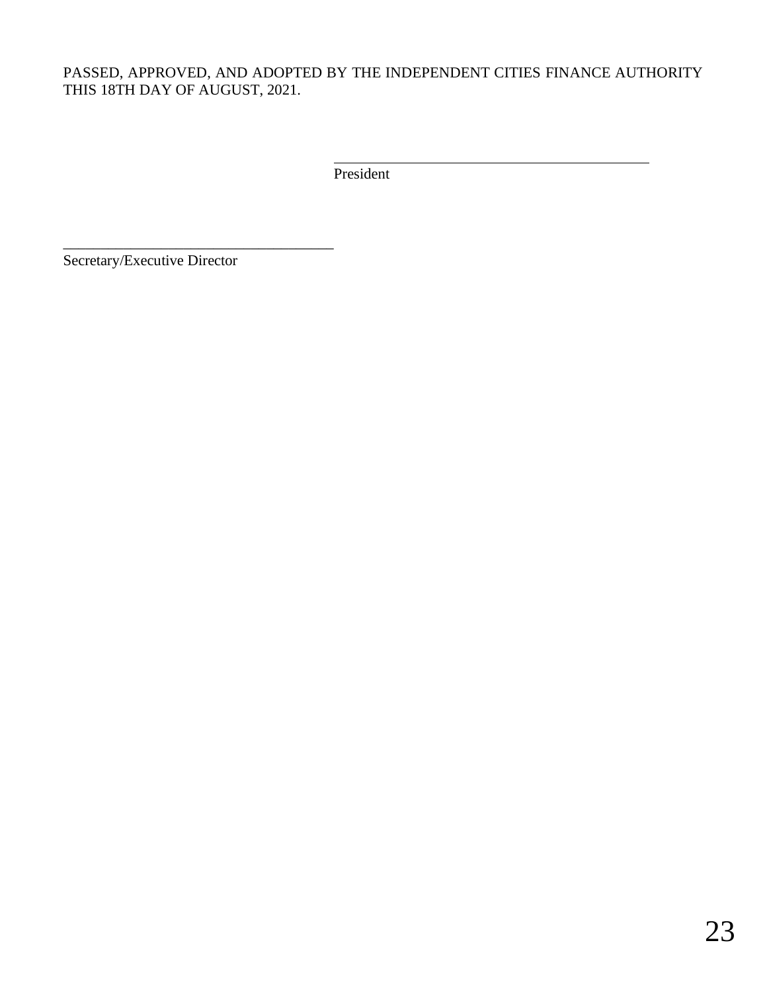# PASSED, APPROVED, AND ADOPTED BY THE INDEPENDENT CITIES FINANCE AUTHORITY THIS 18TH DAY OF AUGUST, 2021.

President

Secretary/Executive Director

\_\_\_\_\_\_\_\_\_\_\_\_\_\_\_\_\_\_\_\_\_\_\_\_\_\_\_\_\_\_\_\_\_\_\_\_